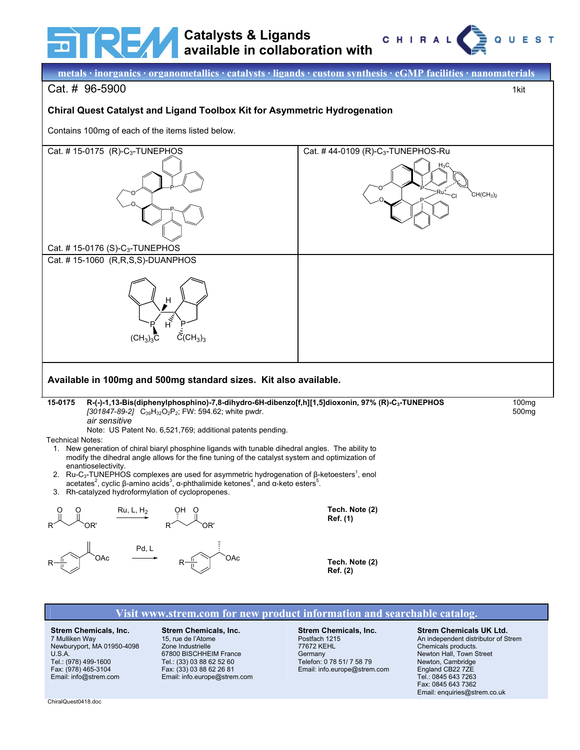

# **Catalysts & Ligands available in collaboration with**





Newburyport, MA 01950-4098 U.S.A. Tel.: (978) 499-1600 Fax: (978) 465-3104 Email: info@strem.com

# Zone Industrielle

67800 BISCHHEIM France Tel.: (33) 03 88 62 52 60 Fax: (33) 03 88 62 26 81 Email: info.europe@strem.com 77672 KEHL Germany Telefon: 0 78 51/ 7 58 79 Email: info.europe@strem.com

#### Chemicals products. Newton Hall, Town Street Newton, Cambridge England CB22 7ZE Tel.: 0845 643 7263 Fax: 0845 643 7362 Email: enquiries@strem.co.uk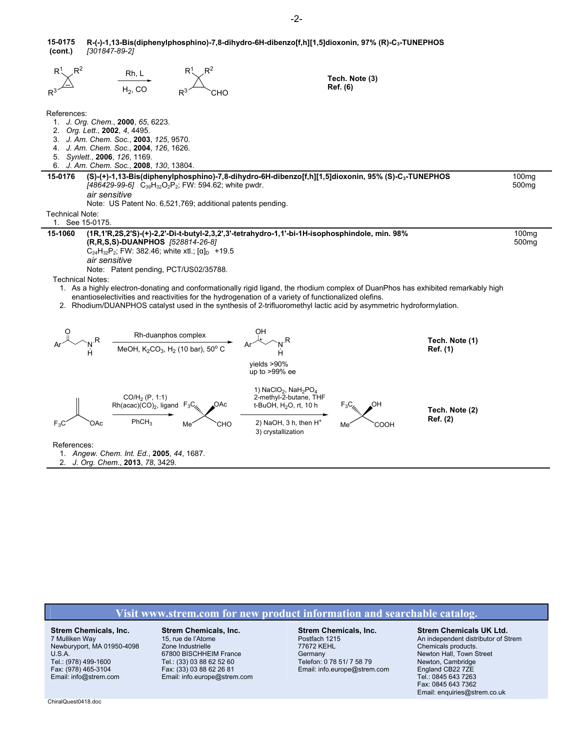|         | 15-0175 R-(-)-1,13-Bis(diphenylphosphino)-7,8-dihydro-6H-dibenzo[f,h][1,5]dioxonin, 97% (R)-C <sub>3</sub> -TUNEPHOS |
|---------|----------------------------------------------------------------------------------------------------------------------|
| (cont.) | [301847-89-2]                                                                                                        |

|                                                                               | Rh, L<br>$H2$ , CO                                                                                                                                                                                     | $R^3$<br>сно                                                                  |                                                                                                                                                                                                      | Tech. Note (3)<br>Ref. (6)                                                                                                                                                                                                                               |                            |                                        |
|-------------------------------------------------------------------------------|--------------------------------------------------------------------------------------------------------------------------------------------------------------------------------------------------------|-------------------------------------------------------------------------------|------------------------------------------------------------------------------------------------------------------------------------------------------------------------------------------------------|----------------------------------------------------------------------------------------------------------------------------------------------------------------------------------------------------------------------------------------------------------|----------------------------|----------------------------------------|
| References:<br>2. Org. Lett., 2002, 4, 4495.<br>5. Synlett., 2006, 126, 1169. | 1. J. Org. Chem., 2000, 65, 6223.<br>3. J. Am. Chem. Soc., 2003, 125, 9570.<br>4. J. Am. Chem. Soc., 2004, 126, 1626.<br>6. J. Am. Chem. Soc., 2008, 130, 13804.                                       |                                                                               |                                                                                                                                                                                                      |                                                                                                                                                                                                                                                          |                            |                                        |
| 15-0176                                                                       | [486429-99-6] C <sub>39</sub> H <sub>32</sub> O <sub>2</sub> P <sub>2</sub> ; FW: 594.62; white pwdr.                                                                                                  |                                                                               |                                                                                                                                                                                                      | (S)-(+)-1,13-Bis(diphenylphosphino)-7,8-dihydro-6H-dibenzo[f,h][1,5]dioxonin, 95% (S)-C <sub>3</sub> -TUNEPHOS                                                                                                                                           |                            | 100 <sub>mg</sub><br>500 <sub>mg</sub> |
|                                                                               | air sensitive                                                                                                                                                                                          |                                                                               |                                                                                                                                                                                                      |                                                                                                                                                                                                                                                          |                            |                                        |
| Technical Note:                                                               | Note: US Patent No. 6,521,769; additional patents pending.                                                                                                                                             |                                                                               |                                                                                                                                                                                                      |                                                                                                                                                                                                                                                          |                            |                                        |
| 1. See 15-0175.                                                               |                                                                                                                                                                                                        |                                                                               |                                                                                                                                                                                                      |                                                                                                                                                                                                                                                          |                            |                                        |
| 15-1060<br><b>Technical Notes:</b>                                            | (R,R,S,S)-DUANPHOS [528814-26-8]<br>C <sub>24</sub> H <sub>32</sub> P <sub>2</sub> ; FW: 382.46; white xtl.; [ $\alpha$ ] <sub>D</sub> +19.5<br>air sensitive<br>Note: Patent pending, PCT/US02/35788. |                                                                               | (1R,1'R,2S,2'S)-(+)-2,2'-Di-t-butyl-2,3,2',3'-tetrahydro-1,1'-bi-1H-isophosphindole, min. 98%<br>enantioselectivities and reactivities for the hydrogenation of a variety of functionalized olefins. | 1. As a highly electron-donating and conformationally rigid ligand, the rhodium complex of DuanPhos has exhibited remarkably high<br>2. Rhodium/DUANPHOS catalyst used in the synthesis of 2-trifluoromethyl lactic acid by asymmetric hydroformylation. |                            | 100 <sub>mq</sub><br>500 <sub>mg</sub> |
|                                                                               |                                                                                                                                                                                                        | Rh-duanphos complex<br>MeOH, $K_2CO_3$ , H <sub>2</sub> (10 bar), 50° C<br>Ar | vields $>90\%$<br>up to $>99\%$ ee                                                                                                                                                                   |                                                                                                                                                                                                                                                          | Tech. Note (1)<br>Ref. (1) |                                        |
| $F_3C$<br>OAc                                                                 | $CO/H2$ (P, 1:1)<br>$Rh(acac)(CO)_2$ , ligand $F_3C$ <sub>//</sub><br>PhCH <sub>3</sub>                                                                                                                | СНО<br>Me                                                                     | 1) NaClO <sub>2</sub> , NaH <sub>2</sub> PO <sub>4</sub><br>2-methyl-2-butane, THF<br>t-BuOH, H <sub>2</sub> O, rt, 10 h<br>2) NaOH, $3 h$ , then $H^+$<br>3) crystallization                        | соон<br>Me <sup>®</sup>                                                                                                                                                                                                                                  | Tech. Note (2)<br>Ref. (2) |                                        |
| References:                                                                   | 1. Angew. Chem. Int. Ed., 2005, 44, 1687.<br>2. J. Org. Chem., 2013, 78, 3429.                                                                                                                         |                                                                               |                                                                                                                                                                                                      |                                                                                                                                                                                                                                                          |                            |                                        |

## **Visit www.strem.com for new product information and searchable catalog.**

**Strem Chemicals, Inc.** 7 Mulliken Way Newburyport, MA 01950-4098 U.S.A. Tel.: (978) 499-1600 Fax: (978) 465-3104 Email: info@strem.com

#### **Strem Chemicals, Inc.** 15, rue de l'Atome Zone Industrielle 67800 BISCHHEIM France

Tel.: (33) 03 88 62 52 60 Fax: (33) 03 88 62 26 81 Email: info.europe@strem.com **Strem Chemicals, Inc.** Postfach 1215 77672 KEHL **Germany** Telefon: 0 78 51/ 7 58 79 Email: info.europe@strem.com

#### **Strem Chemicals UK Ltd.**

An independent distributor of Strem Chemicals products. Newton Hall, Town Street Newton, Cambridge England CB22 7ZE Tel.: 0845 643 7263 Fax: 0845 643 7362 Email: enquiries@strem.co.uk